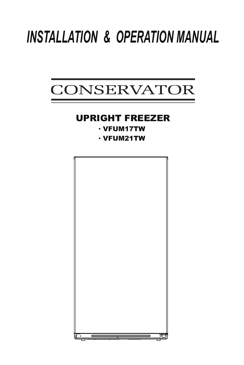# *INSTALLATION & OPERATION MANUAL*



# UPRIGHT FREEZER

· VFUM17TW

· VFUM21TW

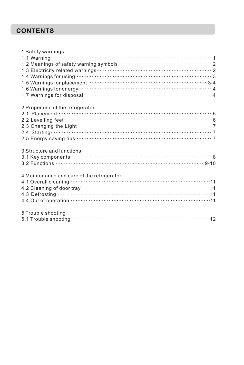# **CONTENTS**

| 1 Safety warnings                                                                                                                                                                                                                    |
|--------------------------------------------------------------------------------------------------------------------------------------------------------------------------------------------------------------------------------------|
|                                                                                                                                                                                                                                      |
|                                                                                                                                                                                                                                      |
|                                                                                                                                                                                                                                      |
|                                                                                                                                                                                                                                      |
|                                                                                                                                                                                                                                      |
|                                                                                                                                                                                                                                      |
| 1.7 Warnings for disposal <b>contract to the contract of the set of the set of the set of the set of the set of the set of the set of the set of the set of the set of the set of the set of the set of the set of the set of th</b> |
| 2 Proper use of the refrigerator                                                                                                                                                                                                     |
|                                                                                                                                                                                                                                      |
|                                                                                                                                                                                                                                      |
|                                                                                                                                                                                                                                      |
|                                                                                                                                                                                                                                      |
|                                                                                                                                                                                                                                      |
| 3 Structure and functions                                                                                                                                                                                                            |
|                                                                                                                                                                                                                                      |
|                                                                                                                                                                                                                                      |
| 4 Maintenance and care of the refrigerator                                                                                                                                                                                           |
| 4 maintenance and care or the remigerator<br>4.1 Overall cleaning…………………………………………………………………………11                                                                                                                                      |
|                                                                                                                                                                                                                                      |
|                                                                                                                                                                                                                                      |
| 4.4 Out of operation manufacture and the Care and Al-                                                                                                                                                                                |
| 5 Trouble shooting                                                                                                                                                                                                                   |
|                                                                                                                                                                                                                                      |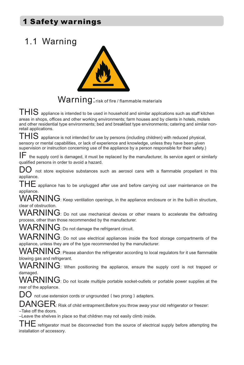# 1 Safety warnings

# 1.1 Warning



# Warning: risk of fire / flammable materials

 $\textsf{THIS}\xspace$  appliance is intended to be used in household and similar applications such as staff kitchen areas in shops, offices and other working environments; farm houses and by clients in hotels, motels and other residential type environments; bed and breakfast type environments; catering and similar nonretail applications.

 $\mathsf{THIS}\,$  appliance is not intended for use by persons (including children) with reduced physical, sensory or mental capabilities, or lack of experience and knowledge, unless they have been given supervision or instruction concerning use of the appliance by a person responsible for their safety.)

IF the supply cord is damaged, it must be replaced by the manufacturer, its service agent or similarly qualified persons in order to avoid a hazard.

 $D\overline{O}$  not store explosive substances such as aerosol cans with a flammable propellant in this appliance.

 $\mathsf{THE}$  appliance has to be unplugged after use and before carrying out user maintenance on the appliance.

WARNING: Keep ventilation openings, in the appliance enclosure or in the built-in structure, clear of obstruction.

WARNING: Do not use mechanical devices or other means to accelerate the defrosting process, other than those recommended by the manufacturer.

WARNING: Do not damage the refrigerant circuit.

WARNING: Do not use electrical appliances inside the food storage compartments of the appliance, unless they are of the type recommended by the manufacturer.

 $\mathsf{WARMING}\text{: }$  Please abandon the refrigerator according to local regulators for it use flammable blowing gas and refrigerant.

WARNING: When positioning the appliance, ensure the supply cord is not trapped or damaged.

WARNING: Do not locate multiple portable socket-outlets or portable power supplies at the rear of the appliance.

 $\rm{DO}$  not use extension cords or ungrounded ( two prong ) adapters.

 $\mathsf{DANGER}$ : Risk of child entrapment.Before you throw away your old refrigerator or freezer:

- Take off the doors.

-Leave the shelves in place so that children may not easily climb inside.

 $\top$ H $\overline{\textsf{E}}$  refrigerator must be disconnected from the source of electrical supply before attempting the installation of accessory.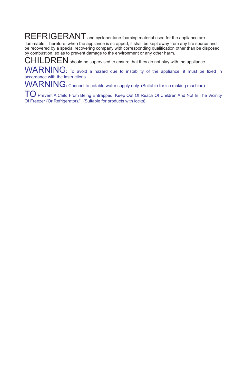REFRIGERANT and cyclopentane foaming material used for the appliance are flammable. Therefore, when the appliance is scrapped, it shall be kept away from any fire source and be recovered by a special recovering company with corresponding qualification other than be disposed by combustion, so as to prevent damage to the environment or any other harm.

 $CHILDREN$  should be supervised to ensure that they do not play with the appliance.

WARNING**:** To avoid a hazard due to instability of the appliance, it must be fixed in accordance with the instructions.

WARNING: Connect to potable water supply only. (Suitable for ice making machine)

TO Prevent A Child From Being Entrapped, Keep Out Of Reach Of Children And Not In The Vicinity Of Freezer (Or Refrigerator)." (Suitable for products with locks)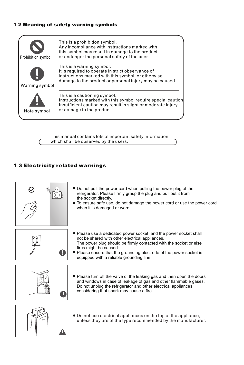## 1 2. Meaning of safety warning symbols



This manual contains lots of important safety information which shall be observed by the users.

## 1 3 Electricity related warnings .



- Do not pull the power cord when pulling the power plug of the refrigerator. Please firmly grasp the plug and pull out it from the socket directly.
- To ensure safe use, do not damage the power cord or use the power cord when it is damaged or worn.



- Please use a dedicated power socket and the power socket shall not be shared with other electrical appliances. The power plug should be firmly contacted with the socket or else fires might be caused.
- Please ensure that the grounding electrode of the power socket is equipped with a reliable grounding line.



Please turn off the valve of the leaking gas and then open the doors and windows in case of leakage of gas and other flammable gases. Do not unplug the refrigerator and other electrical appliances considering that spark may cause a fire.



Do not use electrical appliances on the top of the appliance, unless they are of the type recommended by the manufacturer.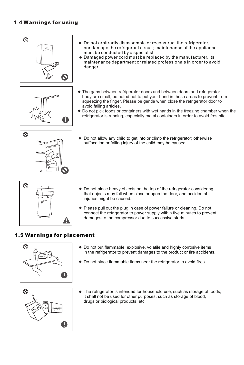## 1.4 Warnings for using









- Do not arbitrarily disassemble or reconstruct the refrigerator, nor damage the refrigerant circuit; maintenance of the appliance must be conducted by a specialist
- Damaged power cord must be replaced by the manufacturer, its maintenance department or related professionals in order to avoid danger.
- The gaps between refrigerator doors and between doors and refrigerator body are small, be noted not to put your hand in these areas to prevent from squeezing the finger. Please be gentle when close the refrigerator door to avoid falling articles.
- Do not pick foods or containers with wet hands in the freezing chamber when the refrigerator is running, especially metal containers in order to avoid frostbite.
- Do not allow any child to get into or climb the refrigerator; otherwise suffocation or falling injury of the child may be caused.

- Do not place heavy objects on the top of the refrigerator considering that objects may fall when close or open the door, and accidental injuries might be caused.
- Please pull out the plug in case of power failure or cleaning. Do not connect the refrigerator to power supply within five minutes to prevent damages to the compressor due to successive starts.

#### 1.5 Warnings for placement



- Do not put flammable, explosive, volatile and highly corrosive items in the refrigerator to prevent damages to the product or fire accidents.
- Do not place flammable items near the refrigerator to avoid fires.



The refrigerator is intended for household use, such as storage of foods; it shall not be used for other purposes, such as storage of blood, drugs or biological products, etc.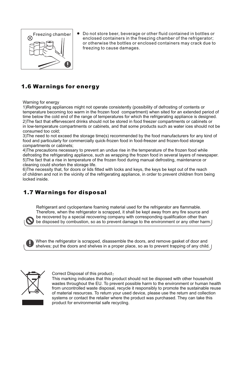

Do not store beer, beverage or other fluid contained in bottles or enclosed containers in the freezing chamber of the refrigerator; or otherwise the bottles or enclosed containers may crack due to freezing to cause damages.

# 1.6 Warnings for energy

Warning for energy

1)Refrigerating appliances might not operate consistently (possibility of defrosting of contents or temperature becoming too warm in the frozen food compartment) when sited for an extended period of time below the cold end of the range of temperatures for which the refrigerating appliance is designed. 2)The fact that effervescent drinks should not be stored in food freezer compartments or cabinets or in low-temperature compartments or cabinets, and that some products such as water ices should not be consumed too cold;

3)The need to not exceed the storage time(s) recommended by the food manufacturers for any kind of food and particularly for commercially quick-frozen food in food-freezer and frozen-food storage compartments or cabinets;

4)The precautions necessary to prevent an undue rise in the temperature of the frozen food while defrosting the refrigerating appliance, such as wrapping the frozen food in several layers of newspaper. 5)The fact that a rise in temperature of the frozen food during manual defrosting, maintenance or cleaning could shorten the storage life.

6)The necessity that, for doors or lids fitted with locks and keys, the keys be kept out of the reach of children and not in the vicinity of the refrigerating appliance, in order to prevent children from being locked inside.

# 1.7 Warnings for disposal

Refrigerant and cyclopentane foaming material used for the refrigerator are flammable. Therefore, when the refrigerator is scrapped, it shall be kept away from any fire source and be recovered by a special recovering company with corresponding qualification other than be disposed by combustion, so as to prevent damage to the environment or any other harm.

When the refrigerator is scrapped, disassemble the doors, and remove gasket of door and shelves; put the doors and shelves in a proper place, so as to prevent trapping of any child.



Correct Disposal of this product:

This marking indicates that this product should not be disposed with other household wastes throughout the EU. To prevent possible harm to the environment or human health from uncontrolled waste disposal, recycle it responsibly to promote the sustainable reuse of material resources. To return your used device, please use the return and collection systems or contact the retailer where the product was purchased. They can take this product for environmental safe recycling.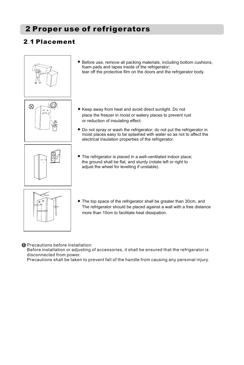# 2 Proper use of refrigerators

# 2.1 Placement







Before use, remove all packing materials, including bottom cushions,

- Keep away from heat and avoid direct sunlight. Do not place the freezer in moist or watery places to prevent rust or reduction of insulating effect.
- Do not spray or wash the refrigerator; do not put the refrigerator in moist places easy to be splashed with water so as not to affect the electrical insulation properties of the refrigerator.
- The refrigerator is placed in a well-ventilated indoor place; the ground shall be flat, and sturdy (rotate left or right to adjust the wheel for levelling if unstable).



The top space of the refrigerator shall be greater than 30cm, and The refrigerator should be placed against a wall with a free distance more than 10cm to facilitate heat dissipation.

#### **O** Precautions before installation:

Before installation or adjusting of accessories, it shall be ensured that the refrigerator is disconnected from power.

Precautions shall be taken to prevent fall of the handle from causing any personal injury.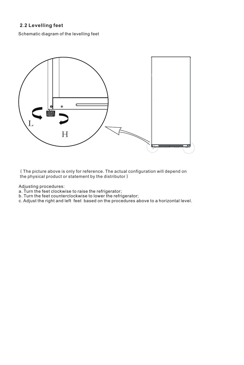## **2 2 Levelling feet** .

Schematic diagram of the levelling feet



(The picture above is only for reference. The actual configuration will depend on the physical product or statement by the distributor)

Adjusting procedures:

- a. Turn the feet clockwise to raise the refrigerator;
- b. Turn the feet counterclockwise to lower the refrigerator;
- c. Adjust the right and left feet based on the procedures above to a horizontal level.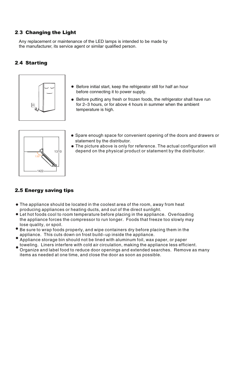#### 2.3 Changing the Light

Any replacement or maintenance of the LED lamps is intended to be made by the manufacturer, its service agent or similar qualified person.

#### 2.4 Starting



- Before initial start, keep the refrigerator still for half an hour before connecting it to power supply.
- Before putting any fresh or frozen foods, the refrigerator shall have run for 2-3 hours, or for above 4 hours in summer when the ambient temperature is high.



- Spare enough space for convenient opening of the doors and drawers or statement by the distributor.
- **The picture above is only for reference. The actual configuration will** depend on the physical product or statement by the distributor.

## 2.5 Energy saving tips

- The appliance should be located in the coolest area of the room, away from heat producing appliances or heating ducts, and out of the direct sunlight.
- Let hot foods cool to room temperature before placing in the appliance. Overloading the appliance forces the compressor to run longer. Foods that freeze too slowly may lose quality, or spoil.
- Be sure to wrap foods properly, and wipe containers dry before placing them in the appliance. This cuts down on frost build-up inside the appliance.
- Appliance storage bin should not be lined with aluminum foil, wax paper, or paper toweling. Liners interfere with cold air circulation, making the appliance less efficient.
- Organize and label food to reduce door openings and extended searches. Remove as many items as needed at one time, and close the door as soon as possible.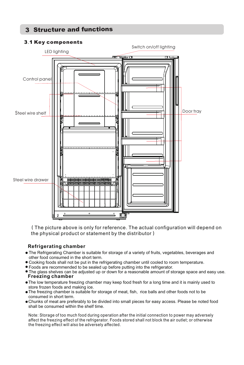# 3 Structure and functions

#### 3.1 Key components



(The picture above is only for reference. The actual configuration will depend on the physical product or statement by the distributor)

#### **Refrigerating chamber**

- The Refrigerating Chamber is suitable for storage of a variety of fruits, vegetables, beverages and other food consumed in the short term.
- Cooking foods shall not be put in the refrigerating chamber until cooled to room temperature.
- Foods are recommended to be sealed up before putting into the refrigerator.
- **Freezing chamber** The glass shelves can be adjusted up or down for a reasonable amount of storage space and easy use.
- The low temperature freezing chamber may keep food fresh for a long time and it is mainly used to store frozen foods and making ice.
- The freezing chamber is suitable for storage of meat, fish, rice balls and other foods not to be consumed in short term.
- Chunks of meat are preferably to be divided into small pieces for easy access. Please be noted food shall be consumed within the shelf time.

Note: Storage of too much food during operation after the initial connection to power may adversely affect the freezing effect of the refrigerator. Foods stored shall not block the air outlet; or otherwise the freezing effect will also be adversely affected.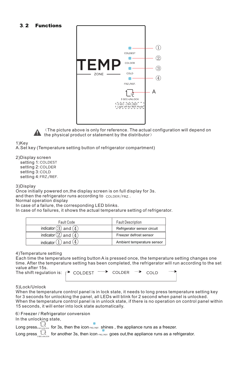#### 3 2 Functions .



(The picture above is only for reference. The actual configuration will depend on the physical product or statement by the distributor)

1)Kev

A.Set key (Temperature setting button of refrigerator compartment)

2) Display screen setting 1: COLDEST setting 2: COLDER setting 3: COLD setting 4:FRZ/REF.

3) Display

Once initially powered on,the display screen is on full display for 3s. and then the refrigerator runs according to colder/FRZ. Normal operation display

In case of a failure, the corresponding LED blinks.

In case of no failures, it shows the actual temperature setting of refrigerator.

| Fault Code                | <b>Fault Description</b>    |
|---------------------------|-----------------------------|
| indicator $(3)$ and $(4)$ | Refrigerator sensor circuit |
| indicator $(2)$ and $(4)$ | Freezer defrost sensor      |
| indicator $(1)$ and $(4)$ | Ambient temperature sensor  |

4) Temperature setting

Each time the temperature setting button A is pressed once, the temperature setting changes one time. After the temperature setting has been completed, the refrigerator will run according to the set value after 15s. The shift regulation is:

| $\rightarrow$ COLDEST $\rightarrow$ COLDER $\rightarrow$ COLD |  |  |  |
|---------------------------------------------------------------|--|--|--|
|                                                               |  |  |  |

5 Lock/Unlock )

When the temperature control panel is in lock state, it needs to long press temperature setting key for 3 seconds for unlocking the panel, all LEDs will blink for 2 second when panel is unlocked. When the temperature control panel is in unlock state, if there is no operation on control panel within 15 seconds, it will enter into lock state automatically.

6)Freezer / Refrigerator conversion

In the unlocking state,

Long press, SECUNGOK for 3s, then the icon FRZ/REF. shines, the appliance runs as a freezer.

Long press  $\frac{1}{s}$  for another 3s, then icon  $f(x)$  goes out, the appliance runs as a refrigerator.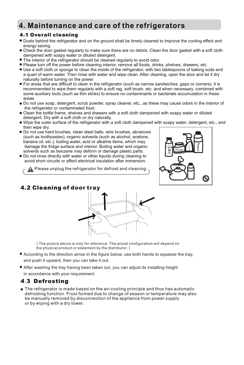# **4. Maintenance and care of the refrigerators**

#### 4.1 Overall cleaning

- Dusts behind the refrigerator and on the ground shall be timely cleaned to improve the cooling effect and energy saving.
- Check the door gasket regularly to make sure there are no debris. Clean the door gasket with a soft cloth dampened with soapy water or diluted detergent.
- The interior of the refrigerator should be cleaned regularly to avoid odor.
- Please turn off the power before cleaning interior, remove all foods, drinks ,shelves, drawers, etc.
- Use a soft cloth or sponge to clean the inside of the refrigerator, with two tablespoons of baking soda and a quart of warm water. Then rinse with water and wipe clean. After cleaning, open the door and let it dry naturally before turning on the power.
- For areas that are difficult to clean in the refrigerator (such as narrow sandwiches, gaps or corners), it is recommended to wipe them regularly with a soft rag, soft brush, etc. and when necessary, combined with some auxiliary tools (such as thin sticks) to ensure no contaminants or bacterials accumulation in these areas.
- Do not use soap, detergent, scrub powder, spray cleaner, etc., as these may cause odors in the interior of the refrigerator or contaminated food.
- Clean the bottle frame, shelves and drawers with a soft cloth dampened with soapy water or diluted detergent. Dry with a soft cloth or dry naturally.
- Wipe the outer surface of the refrigerator with a soft cloth dampened with soapy water, detergent, etc., and then wipe dry.
- Do not use hard brushes, clean steel balls, wire brushes, abrasives (such as toothpastes), organic solvents (such as alcohol, acetone, banana oil, etc.), boiling water, acid or alkaline items, which may damage the fridge surface and interior. Boiling water and organic solvents such as benzene may deform or damage plastic parts.
- Do not rinse directly with water or other liquids during cleaning to avoid short circuits or affect electrical insulation after immersion.

**A** Please unplug the refrigerator for defrost and cleaning.



## 4.2 Cleaning of door tray



(The picture above is only for reference. The actual configuration will depend on the physical product or statement by the distributor.)

- According to the direction arrow in the figure below, use both hands to squeeze the tray, and push it upward, then you can take it out.
- After washing the tray having been taken out, you can adjust its installing height in accordance with your requirement.

# **4.3 Defrosting**

The refrigerator is made based on the air-cooling principle and thus has automatic defrosting function. Frost formed due to change of season or temperature may also be manually removed by disconnection of the appliance from power supply or by wiping with a dry towel.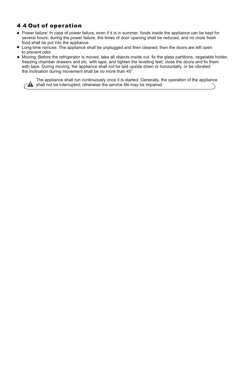# 4 4 Out of operation .

- Power failure: In case of power failure, even if it is in summer, foods inside the appliance can be kept for several hours; during the power failure, the times of door opening shall be reduced, and no more fresh food shall be put into the appliance.
- Long-time nonuse: The appliance shall be unplugged and then cleaned; then the doors are left open to prevent odor.
- Moving: Before the refrigerator is moved, take all objects inside out, fix the glass partitions, vegetable holder, freezing chamber drawers and etc. with tape, and tighten the levelling feet; close the doors and fix them with tape. During moving, the appliance shall not be laid upside down or horizontally, or be vibrated; the inclination during movement shall be no more than 45°.

The appliance shall run continuously once it is started. Generally, the operation of the appliance  $\bigcap$  shall not be interrupted; otherwise the service life may be impaired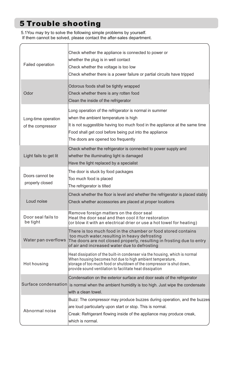# 5 Trouble shooting

5 1You may try to solve the following simple problems by yourself. . If them cannot be solved, please contact the after-sales department.

| Failed operation                         | Check whether the appliance is connected to power or<br>whether the plug is in well contact<br>Check whether the voltage is too low<br>Check whether there is a power failure or partial circuits have tripped                                                                   |
|------------------------------------------|----------------------------------------------------------------------------------------------------------------------------------------------------------------------------------------------------------------------------------------------------------------------------------|
| Odor                                     | Odorous foods shall be tightly wrapped<br>Check whether there is any rotten food<br>Clean the inside of the refrigerator                                                                                                                                                         |
| Long-time operation<br>of the compressor | Long operation of the refrigerator is normal in summer<br>when the ambient temperature is high<br>It is not suggestible having too much food in the appliance at the same time<br>Food shall get cool before being put into the appliance<br>The doors are opened too frequently |
| Light fails to get lit                   | Check whether the refrigerator is connected to power supply and<br>whether the illuminating light is damaged<br>Have the light replaced by a specialist                                                                                                                          |
| Doors cannot be<br>properly closed       | The door is stuck by food packages<br>Too much food is placed<br>The refrigerator is tilted                                                                                                                                                                                      |
| Loud noise                               | Check whether the floor is level and whether the refrigerator is placed stably<br>Check whether accessories are placed at proper locations                                                                                                                                       |
| Door seal fails to<br>be tight           | Remove foreign matters on the door seal<br>Heat the door seal and then cool it for restoration<br>(or blow it with an electrical drier or use a hot towel for heating)                                                                                                           |
| Water pan overflows                      | There is too much food in the chamber or food stored contains<br>too much water, resulting in heavy defrosting<br>The doors are not closed properly, resulting in frosting due to entry<br>of air and increased water due to defrosting                                          |
| Hot housing                              | Heat dissipation of the built-in condenser via the housing, which is normal<br>When housing becomes hot due to high ambient temperature,<br>storage of too much food or shutdown of the compressor is shut down,<br>provide sound ventilation to facilitate heat dissipation     |
|                                          | Condensation on the exterior surface and door seals of the refrigerator<br>Surface condensation is normal when the ambient humidity is too high. Just wipe the condensate<br>with a clean towel.                                                                                 |
| Abnormal noise                           | Buzz: The compressor may produce buzzes during operation, and the buzzes<br>are loud particularly upon start or stop. This is normal.<br>Creak: Refrigerant flowing inside of the appliance may produce creak,<br>which is normal.                                               |